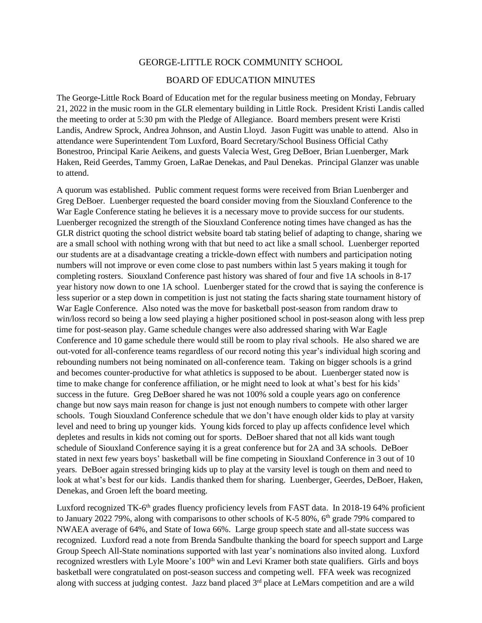## GEORGE-LITTLE ROCK COMMUNITY SCHOOL

## BOARD OF EDUCATION MINUTES

The George-Little Rock Board of Education met for the regular business meeting on Monday, February 21, 2022 in the music room in the GLR elementary building in Little Rock. President Kristi Landis called the meeting to order at 5:30 pm with the Pledge of Allegiance. Board members present were Kristi Landis, Andrew Sprock, Andrea Johnson, and Austin Lloyd. Jason Fugitt was unable to attend. Also in attendance were Superintendent Tom Luxford, Board Secretary/School Business Official Cathy Bonestroo, Principal Karie Aeikens, and guests Valecia West, Greg DeBoer, Brian Luenberger, Mark Haken, Reid Geerdes, Tammy Groen, LaRae Denekas, and Paul Denekas. Principal Glanzer was unable to attend.

A quorum was established. Public comment request forms were received from Brian Luenberger and Greg DeBoer. Luenberger requested the board consider moving from the Siouxland Conference to the War Eagle Conference stating he believes it is a necessary move to provide success for our students. Luenberger recognized the strength of the Siouxland Conference noting times have changed as has the GLR district quoting the school district website board tab stating belief of adapting to change, sharing we are a small school with nothing wrong with that but need to act like a small school. Luenberger reported our students are at a disadvantage creating a trickle-down effect with numbers and participation noting numbers will not improve or even come close to past numbers within last 5 years making it tough for completing rosters. Siouxland Conference past history was shared of four and five 1A schools in 8-17 year history now down to one 1A school. Luenberger stated for the crowd that is saying the conference is less superior or a step down in competition is just not stating the facts sharing state tournament history of War Eagle Conference. Also noted was the move for basketball post-season from random draw to win/loss record so being a low seed playing a higher positioned school in post-season along with less prep time for post-season play. Game schedule changes were also addressed sharing with War Eagle Conference and 10 game schedule there would still be room to play rival schools. He also shared we are out-voted for all-conference teams regardless of our record noting this year's individual high scoring and rebounding numbers not being nominated on all-conference team. Taking on bigger schools is a grind and becomes counter-productive for what athletics is supposed to be about. Luenberger stated now is time to make change for conference affiliation, or he might need to look at what's best for his kids' success in the future. Greg DeBoer shared he was not 100% sold a couple years ago on conference change but now says main reason for change is just not enough numbers to compete with other larger schools. Tough Siouxland Conference schedule that we don't have enough older kids to play at varsity level and need to bring up younger kids. Young kids forced to play up affects confidence level which depletes and results in kids not coming out for sports. DeBoer shared that not all kids want tough schedule of Siouxland Conference saying it is a great conference but for 2A and 3A schools. DeBoer stated in next few years boys' basketball will be fine competing in Siouxland Conference in 3 out of 10 years. DeBoer again stressed bringing kids up to play at the varsity level is tough on them and need to look at what's best for our kids. Landis thanked them for sharing. Luenberger, Geerdes, DeBoer, Haken, Denekas, and Groen left the board meeting.

Luxford recognized TK-6<sup>th</sup> grades fluency proficiency levels from FAST data. In 2018-19 64% proficient to January 2022 79%, along with comparisons to other schools of K-5 80%,  $6<sup>th</sup>$  grade 79% compared to NWAEA average of 64%, and State of Iowa 66%. Large group speech state and all-state success was recognized. Luxford read a note from Brenda Sandbulte thanking the board for speech support and Large Group Speech All-State nominations supported with last year's nominations also invited along. Luxford recognized wrestlers with Lyle Moore's 100<sup>th</sup> win and Levi Kramer both state qualifiers. Girls and boys basketball were congratulated on post-season success and competing well. FFA week was recognized along with success at judging contest. Jazz band placed 3<sup>rd</sup> place at LeMars competition and are a wild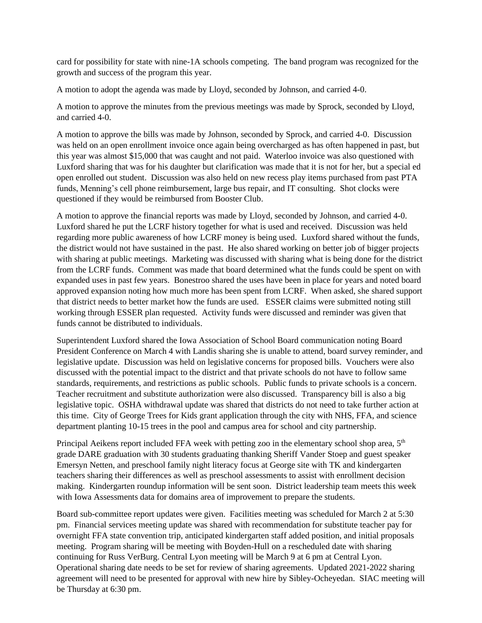card for possibility for state with nine-1A schools competing. The band program was recognized for the growth and success of the program this year.

A motion to adopt the agenda was made by Lloyd, seconded by Johnson, and carried 4-0.

A motion to approve the minutes from the previous meetings was made by Sprock, seconded by Lloyd, and carried 4-0.

A motion to approve the bills was made by Johnson, seconded by Sprock, and carried 4-0. Discussion was held on an open enrollment invoice once again being overcharged as has often happened in past, but this year was almost \$15,000 that was caught and not paid. Waterloo invoice was also questioned with Luxford sharing that was for his daughter but clarification was made that it is not for her, but a special ed open enrolled out student. Discussion was also held on new recess play items purchased from past PTA funds, Menning's cell phone reimbursement, large bus repair, and IT consulting. Shot clocks were questioned if they would be reimbursed from Booster Club.

A motion to approve the financial reports was made by Lloyd, seconded by Johnson, and carried 4-0. Luxford shared he put the LCRF history together for what is used and received. Discussion was held regarding more public awareness of how LCRF money is being used. Luxford shared without the funds, the district would not have sustained in the past. He also shared working on better job of bigger projects with sharing at public meetings. Marketing was discussed with sharing what is being done for the district from the LCRF funds. Comment was made that board determined what the funds could be spent on with expanded uses in past few years. Bonestroo shared the uses have been in place for years and noted board approved expansion noting how much more has been spent from LCRF. When asked, she shared support that district needs to better market how the funds are used. ESSER claims were submitted noting still working through ESSER plan requested. Activity funds were discussed and reminder was given that funds cannot be distributed to individuals.

Superintendent Luxford shared the Iowa Association of School Board communication noting Board President Conference on March 4 with Landis sharing she is unable to attend, board survey reminder, and legislative update. Discussion was held on legislative concerns for proposed bills. Vouchers were also discussed with the potential impact to the district and that private schools do not have to follow same standards, requirements, and restrictions as public schools. Public funds to private schools is a concern. Teacher recruitment and substitute authorization were also discussed. Transparency bill is also a big legislative topic. OSHA withdrawal update was shared that districts do not need to take further action at this time. City of George Trees for Kids grant application through the city with NHS, FFA, and science department planting 10-15 trees in the pool and campus area for school and city partnership.

Principal Aeikens report included FFA week with petting zoo in the elementary school shop area, 5<sup>th</sup> grade DARE graduation with 30 students graduating thanking Sheriff Vander Stoep and guest speaker Emersyn Netten, and preschool family night literacy focus at George site with TK and kindergarten teachers sharing their differences as well as preschool assessments to assist with enrollment decision making. Kindergarten roundup information will be sent soon. District leadership team meets this week with Iowa Assessments data for domains area of improvement to prepare the students.

Board sub-committee report updates were given. Facilities meeting was scheduled for March 2 at 5:30 pm. Financial services meeting update was shared with recommendation for substitute teacher pay for overnight FFA state convention trip, anticipated kindergarten staff added position, and initial proposals meeting. Program sharing will be meeting with Boyden-Hull on a rescheduled date with sharing continuing for Russ VerBurg. Central Lyon meeting will be March 9 at 6 pm at Central Lyon. Operational sharing date needs to be set for review of sharing agreements. Updated 2021-2022 sharing agreement will need to be presented for approval with new hire by Sibley-Ocheyedan. SIAC meeting will be Thursday at 6:30 pm.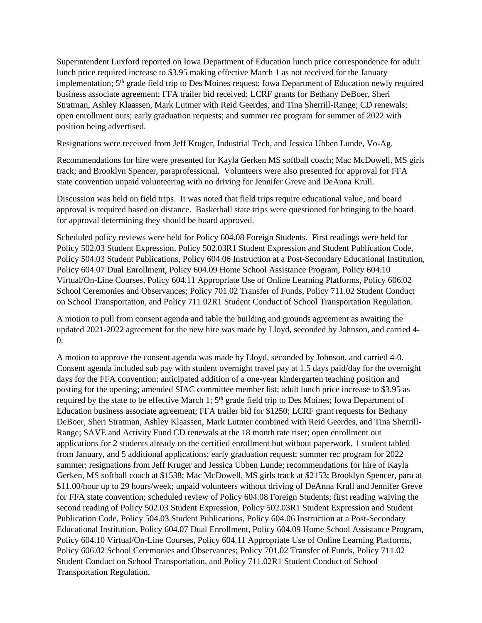Superintendent Luxford reported on Iowa Department of Education lunch price correspondence for adult lunch price required increase to \$3.95 making effective March 1 as not received for the January implementation; 5<sup>th</sup> grade field trip to Des Moines request; Iowa Department of Education newly required business associate agreement; FFA trailer bid received; LCRF grants for Bethany DeBoer, Sheri Stratman, Ashley Klaassen, Mark Lutmer with Reid Geerdes, and Tina Sherrill-Range; CD renewals; open enrollment outs; early graduation requests; and summer rec program for summer of 2022 with position being advertised.

Resignations were received from Jeff Kruger, Industrial Tech, and Jessica Ubben Lunde, Vo-Ag.

Recommendations for hire were presented for Kayla Gerken MS softball coach; Mac McDowell, MS girls track; and Brooklyn Spencer, paraprofessional. Volunteers were also presented for approval for FFA state convention unpaid volunteering with no driving for Jennifer Greve and DeAnna Krull.

Discussion was held on field trips. It was noted that field trips require educational value, and board approval is required based on distance. Basketball state trips were questioned for bringing to the board for approval determining they should be board approved.

Scheduled policy reviews were held for Policy 604.08 Foreign Students. First readings were held for Policy 502.03 Student Expression, Policy 502.03R1 Student Expression and Student Publication Code, Policy 504.03 Student Publications, Policy 604.06 Instruction at a Post-Secondary Educational Institution, Policy 604.07 Dual Enrollment, Policy 604.09 Home School Assistance Program, Policy 604.10 Virtual/On-Line Courses, Policy 604.11 Appropriate Use of Online Learning Platforms, Policy 606.02 School Ceremonies and Observances; Policy 701.02 Transfer of Funds, Policy 711.02 Student Conduct on School Transportation, and Policy 711.02R1 Student Conduct of School Transportation Regulation.

A motion to pull from consent agenda and table the building and grounds agreement as awaiting the updated 2021-2022 agreement for the new hire was made by Lloyd, seconded by Johnson, and carried 4- 0.

A motion to approve the consent agenda was made by Lloyd, seconded by Johnson, and carried 4-0. Consent agenda included sub pay with student overnight travel pay at 1.5 days paid/day for the overnight days for the FFA convention; anticipated addition of a one-year kindergarten teaching position and posting for the opening; amended SIAC committee member list; adult lunch price increase to \$3.95 as required by the state to be effective March 1; 5<sup>th</sup> grade field trip to Des Moines; Iowa Department of Education business associate agreement; FFA trailer bid for \$1250; LCRF grant requests for Bethany DeBoer, Sheri Stratman, Ashley Klaassen, Mark Lutmer combined with Reid Geerdes, and Tina Sherrill-Range; SAVE and Activity Fund CD renewals at the 18 month rate riser; open enrollment out applications for 2 students already on the certified enrollment but without paperwork, 1 student tabled from January, and 5 additional applications; early graduation request; summer rec program for 2022 summer; resignations from Jeff Kruger and Jessica Ubben Lunde; recommendations for hire of Kayla Gerken, MS softball coach at \$1538; Mac McDowell, MS girls track at \$2153; Brooklyn Spencer, para at \$11.00/hour up to 29 hours/week; unpaid volunteers without driving of DeAnna Krull and Jennifer Greve for FFA state convention; scheduled review of Policy 604.08 Foreign Students; first reading waiving the second reading of Policy 502.03 Student Expression, Policy 502.03R1 Student Expression and Student Publication Code, Policy 504.03 Student Publications, Policy 604.06 Instruction at a Post-Secondary Educational Institution, Policy 604.07 Dual Enrollment, Policy 604.09 Home School Assistance Program, Policy 604.10 Virtual/On-Line Courses, Policy 604.11 Appropriate Use of Online Learning Platforms, Policy 606.02 School Ceremonies and Observances; Policy 701.02 Transfer of Funds, Policy 711.02 Student Conduct on School Transportation, and Policy 711.02R1 Student Conduct of School Transportation Regulation.